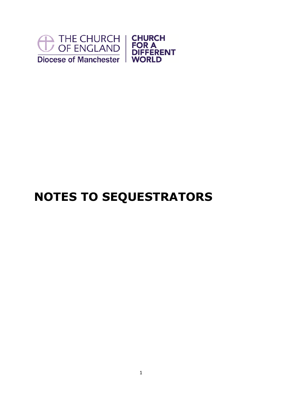

## **NOTES TO SEQUESTRATORS**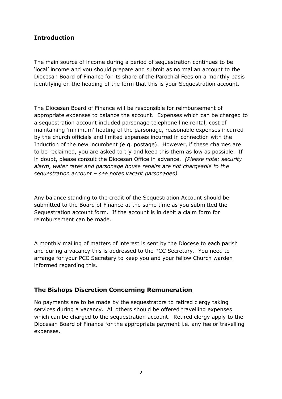## **Introduction**

The main source of income during a period of sequestration continues to be 'local' income and you should prepare and submit as normal an account to the Diocesan Board of Finance for its share of the Parochial Fees on a monthly basis identifying on the heading of the form that this is your Sequestration account.

The Diocesan Board of Finance will be responsible for reimbursement of appropriate expenses to balance the account. Expenses which can be charged to a sequestration account included parsonage telephone line rental, cost of maintaining 'minimum' heating of the parsonage, reasonable expenses incurred by the church officials and limited expenses incurred in connection with the Induction of the new incumbent (e.g. postage). However, if these charges are to be reclaimed, you are asked to try and keep this them as low as possible. If in doubt, please consult the Diocesan Office in advance. *(Please note: security alarm, water rates and parsonage house repairs are not chargeable to the sequestration account – see notes vacant parsonages)*

Any balance standing to the credit of the Sequestration Account should be submitted to the Board of Finance at the same time as you submitted the Sequestration account form. If the account is in debit a claim form for reimbursement can be made.

A monthly mailing of matters of interest is sent by the Diocese to each parish and during a vacancy this is addressed to the PCC Secretary. You need to arrange for your PCC Secretary to keep you and your fellow Church warden informed regarding this.

## **The Bishops Discretion Concerning Remuneration**

No payments are to be made by the sequestrators to retired clergy taking services during a vacancy. All others should be offered travelling expenses which can be charged to the sequestration account. Retired clergy apply to the Diocesan Board of Finance for the appropriate payment i.e. any fee or travelling expenses.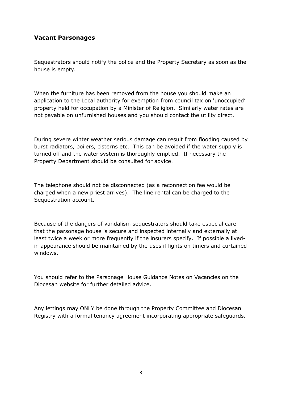## **Vacant Parsonages**

Sequestrators should notify the police and the Property Secretary as soon as the house is empty.

When the furniture has been removed from the house you should make an application to the Local authority for exemption from council tax on 'unoccupied' property held for occupation by a Minister of Religion. Similarly water rates are not payable on unfurnished houses and you should contact the utility direct.

During severe winter weather serious damage can result from flooding caused by burst radiators, boilers, cisterns etc. This can be avoided if the water supply is turned off and the water system is thoroughly emptied. If necessary the Property Department should be consulted for advice.

The telephone should not be disconnected (as a reconnection fee would be charged when a new priest arrives). The line rental can be charged to the Sequestration account.

Because of the dangers of vandalism sequestrators should take especial care that the parsonage house is secure and inspected internally and externally at least twice a week or more frequently if the insurers specify. If possible a livedin appearance should be maintained by the uses if lights on timers and curtained windows.

You should refer to the Parsonage House Guidance Notes on Vacancies on the Diocesan website for further detailed advice.

Any lettings may ONLY be done through the Property Committee and Diocesan Registry with a formal tenancy agreement incorporating appropriate safeguards.